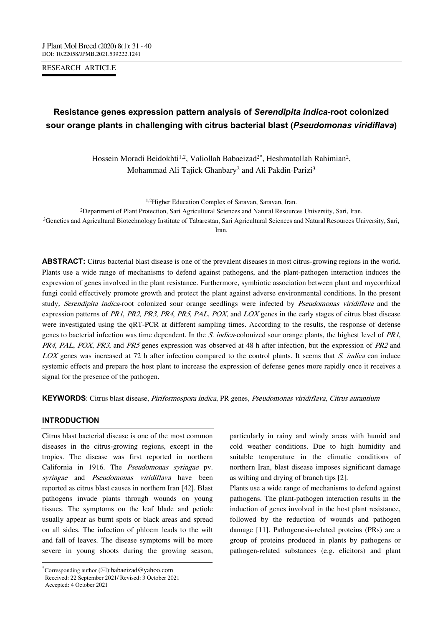RESEARCH ARTICLE

# **Resistance genes expression pattern analysis of** *Serendipita indica***-root colonized sour orange plants in challenging with citrus bacterial blast (***Pseudomonas viridiflava***)**

Hossein Moradi Beidokhti<sup>1,2</sup>, Valiollah Babaeizad<sup>2\*</sup>, Heshmatollah Rahimian<sup>2</sup>, Mohammad Ali Tajick Ghanbary2 and Ali Pakdin-Parizi3

1,2Higher Education Complex of Saravan, Saravan, Iran.

2Department of Plant Protection, Sari Agricultural Sciences and Natural Resources University, Sari, Iran.

3Genetics and Agricultural Biotechnology Institute of Tabarestan, Sari Agricultural Sciences and Natural Resources University, Sari, Iran.

**ABSTRACT:** Citrus bacterial blast disease is one of the prevalent diseases in most citrus-growing regions in the world. Plants use a wide range of mechanisms to defend against pathogens, and the plant-pathogen interaction induces the expression of genes involved in the plant resistance. Furthermore, symbiotic association between plant and mycorrhizal fungi could effectively promote growth and protect the plant against adverse environmental conditions. In the present study, Serendipita indica-root colonized sour orange seedlings were infected by Pseudomonas viridiflava and the expression patterns of PR1, PR2, PR3, PR4, PR5, PAL, POX, and LOX genes in the early stages of citrus blast disease were investigated using the qRT-PCR at different sampling times. According to the results, the response of defense genes to bacterial infection was time dependent. In the S. indica-colonized sour orange plants, the highest level of PR1, PR4, PAL, POX, PR3, and PR5 genes expression was observed at 48 h after infection, but the expression of PR2 and LOX genes was increased at 72 h after infection compared to the control plants. It seems that S. indica can induce systemic effects and prepare the host plant to increase the expression of defense genes more rapidly once it receives a signal for the presence of the pathogen.

**KEYWORDS**: Citrus blast disease, Piriformospora indica, PR genes, Pseudomonas viridiflava, Citrus aurantium

# **INTRODUCTION**

Citrus blast bacterial disease is one of the most common diseases in the citrus-growing regions, except in the tropics. The disease was first reported in northern California in 1916. The Pseudomonas syringae pv. syringae and Pseudomonas viridiflava have been reported as citrus blast causes in northern Iran [42]. Blast pathogens invade plants through wounds on young tissues. The symptoms on the leaf blade and petiole usually appear as burnt spots or black areas and spread on all sides. The infection of phloem leads to the wilt and fall of leaves. The disease symptoms will be more severe in young shoots during the growing season,

---------------------------------------------------------------------------------

particularly in rainy and windy areas with humid and cold weather conditions. Due to high humidity and suitable temperature in the climatic conditions of northern Iran, blast disease imposes significant damage as wilting and drying of branch tips [2].

Plants use a wide range of mechanisms to defend against pathogens. The plant-pathogen interaction results in the induction of genes involved in the host plant resistance, followed by the reduction of wounds and pathogen damage [11]. Pathogenesis-related proteins (PRs) are a group of proteins produced in plants by pathogens or pathogen-related substances (e.g. elicitors) and plant

 $^*$ Corresponding author ( $\boxtimes$ ):babaeizad@yahoo.com Received: 22 September 2021/ Revised: 3 October 2021 Accepted: 4 October 2021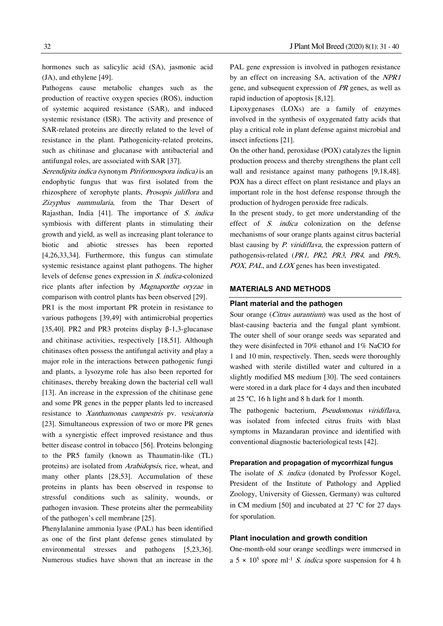hormones such as salicylic acid (SA), jasmonic acid (JA), and ethylene [49].

Pathogens cause metabolic changes such as the production of reactive oxygen species (ROS), induction of systemic acquired resistance (SAR), and induced systemic resistance (ISR). The activity and presence of SAR-related proteins are directly related to the level of resistance in the plant. Pathogenicity-related proteins, such as chitinase and glucanase with antibacterial and antifungal roles, are associated with SAR [37].

Serendipita indica (synonym Piriformospora indica) is an endophytic fungus that was first isolated from the rhizosphere of xerophyte plants, Prosopis juliflora and Zizyphus nummularia, from the Thar Desert of Rajasthan, India [41]. The importance of S. indica symbiosis with different plants in stimulating their growth and yield, as well as increasing plant tolerance to biotic and abiotic stresses has been reported [4,26,33,34]. Furthermore, this fungus can stimulate systemic resistance against plant pathogens. The higher levels of defense genes expression in S. indica-colonized rice plants after infection by Magnaporthe oryzae in comparison with control plants has been observed [29].

PR1 is the most important PR protein in resistance to various pathogens [39,49] with antimicrobial properties [35,40]. PR2 and PR3 proteins display β-1,3-glucanase and chitinase activities, respectively [18,51]. Although chitinases often possess the antifungal activity and play a major role in the interactions between pathogenic fungi and plants, a lysozyme role has also been reported for chitinases, thereby breaking down the bacterial cell wall [13]. An increase in the expression of the chitinase gene and some PR genes in the pepper plants led to increased resistance to Xanthamonas campestris pv. vesicatoria [23]. Simultaneous expression of two or more PR genes with a synergistic effect improved resistance and thus better disease control in tobacco [56]. Proteins belonging to the PR5 family (known as Thaumatin-like (TL) proteins) are isolated from Arabidopsis, rice, wheat, and many other plants [28,53]. Accumulation of these proteins in plants has been observed in response to stressful conditions such as salinity, wounds, or pathogen invasion. These proteins alter the permeability of the pathogen's cell membrane [25].

Phenylalanine ammonia lyase (PAL) has been identified as one of the first plant defense genes stimulated by environmental stresses and pathogens [5,23,36]. Numerous studies have shown that an increase in the PAL gene expression is involved in pathogen resistance by an effect on increasing SA, activation of the NPR1 gene, and subsequent expression of PR genes, as well as rapid induction of apoptosis [8,12].

Lipoxygenases (LOXs) are a family of enzymes involved in the synthesis of oxygenated fatty acids that play a critical role in plant defense against microbial and insect infections [21].

On the other hand, peroxidase (POX) catalyzes the lignin production process and thereby strengthens the plant cell wall and resistance against many pathogens [9,18,48]. POX has a direct effect on plant resistance and plays an important role in the host defense response through the production of hydrogen peroxide free radicals.

In the present study, to get more understanding of the effect of S. indica colonization on the defense mechanisms of sour orange plants against citrus bacterial blast causing by P. viridiflava, the expression pattern of pathogensis-related (PR1, PR2, PR3, PR4, and PR5), POX, PAL, and LOX genes has been investigated.

## **MATERIALS AND METHODS**

#### **Plant material and the pathogen**

Sour orange (*Citrus aurantium*) was used as the host of blast-causing bacteria and the fungal plant symbiont. The outer shell of sour orange seeds was separated and they were disinfected in 70% ethanol and 1% NaClO for 1 and 10 min, respectively. Then, seeds were thoroughly washed with sterile distilled water and cultured in a slightly modified MS medium [30]. The seed containers were stored in a dark place for 4 days and then incubated at 25 °C, 16 h light and 8 h dark for 1 month.

The pathogenic bacterium, Pseudomonas viridiflava, was isolated from infected citrus fruits with blast symptoms in Mazandaran province and identified with conventional diagnostic bacteriological tests [42].

#### **Preparation and propagation of mycorrhizal fungus**

The isolate of S. indica (donated by Professor Kogel, President of the Institute of Pathology and Applied Zoology, University of Giessen, Germany) was cultured in CM medium [50] and incubated at 27 °C for 27 days for sporulation.

#### **Plant inoculation and growth condition**

One-month-old sour orange seedlings were immersed in a  $5 \times 10^5$  spore ml<sup>-1</sup> *S. indica* spore suspension for 4 h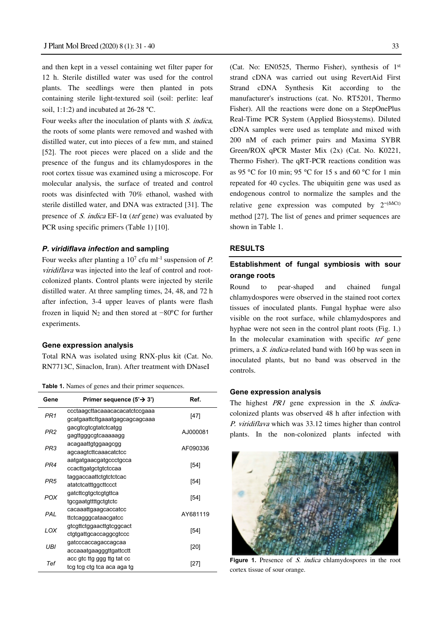and then kept in a vessel containing wet filter paper for 12 h. Sterile distilled water was used for the control plants. The seedlings were then planted in pots containing sterile light-textured soil (soil: perlite: leaf soil, 1:1:2) and incubated at 26-28 °C.

Four weeks after the inoculation of plants with S. indica, the roots of some plants were removed and washed with distilled water, cut into pieces of a few mm, and stained [52]. The root pieces were placed on a slide and the presence of the fungus and its chlamydospores in the root cortex tissue was examined using a microscope. For molecular analysis, the surface of treated and control roots was disinfected with 70% ethanol, washed with sterile distilled water, and DNA was extracted [31]. The presence of S. indica EF-1 $\alpha$  (tef gene) was evaluated by PCR using specific primers (Table 1) [10].

## *P. viridiflava infection* **and sampling**

Four weeks after planting a  $10^7$  cfu ml<sup>-1</sup> suspension of *P*. viridiflava was injected into the leaf of control and rootcolonized plants. Control plants were injected by sterile distilled water. At three sampling times, 24, 48, and 72 h after infection, 3-4 upper leaves of plants were flash frozen in liquid N2 and then stored at −80°C for further experiments.

#### **Gene expression analysis**

Total RNA was isolated using RNX-plus kit (Cat. No. RN7713C, Sinaclon, Iran). After treatment with DNaseI

**Table 1.** Names of genes and their primer sequences.

| Gene            | Primer sequence $(5' \rightarrow 3')$ | Ref.     |
|-----------------|---------------------------------------|----------|
| PR <sub>1</sub> | ccctaagcttacaaacacacatctccgaaa        | [47]     |
|                 | gcatgaattcttgaaatgagcagcagcaaa        |          |
| PR <sub>2</sub> | gacgtcgtcgtatctcatgg                  | AJ000081 |
|                 | gagttgggcgtcaaaaagg                   |          |
| PR3             | acagaattgtggaagcgg                    | AF090336 |
|                 | agcaagtcttcaaacatctcc                 |          |
| PR <sub>4</sub> | aatgatgaacgatgccctgcca                | $[54]$   |
|                 | ccacttgatgctgtctccaa                  |          |
| PR <sub>5</sub> | taggaccaattctgtctctcac                | $[54]$   |
|                 | atatctcatttggcttccct                  |          |
| <b>POX</b>      | gatcttcgtgctcgtgttca                  | $[54]$   |
|                 | tgcgaatgttttgctgtctc                  |          |
| PAL             | cacaaattgaagcaccatcc                  | AY681119 |
|                 | ttctcagggcataacgatcc                  |          |
| LOX             | gtcgttctggaacttgtcggcact              | [54]     |
|                 | ctgtgattgcaccaggcgtccc                |          |
| UBI             | gatcccaccagaccagcaa                   | [20]     |
|                 | accaaatgaagggttgattcctt               |          |
| Tef             | acc gtc ttg ggg ttg tat cc            | [27]     |
|                 | tcg tcg ctg tca aca aga tg            |          |

(Cat. No: EN0525, Thermo Fisher), synthesis of 1st strand cDNA was carried out using RevertAid First Strand cDNA Synthesis Kit according to the manufacturer's instructions (cat. No. RT5201, Thermo Fisher). All the reactions were done on a StepOnePlus Real-Time PCR System (Applied Biosystems). Diluted cDNA samples were used as template and mixed with 200 nM of each primer pairs and Maxima SYBR Green/ROX qPCR Master Mix (2x) (Cat. No. K0221, Thermo Fisher). The qRT-PCR reactions condition was as 95 °C for 10 min; 95 °C for 15 s and 60 °C for 1 min repeated for 40 cycles. The ubiquitin gene was used as endogenous control to normalize the samples and the relative gene expression was computed by  $2^{-(\Delta\Delta Ct)}$ method [27]. The list of genes and primer sequences are shown in Table 1.

#### **RESULTS**

# **Establishment of fungal symbiosis with sour orange roots**

Round to pear-shaped and chained fungal chlamydospores were observed in the stained root cortex tissues of inoculated plants. Fungal hyphae were also visible on the root surface, while chlamydospores and hyphae were not seen in the control plant roots (Fig. 1.) In the molecular examination with specific tef gene primers, a S. indica-related band with 160 bp was seen in inoculated plants, but no band was observed in the controls.

#### **Gene expression analysis**

The highest PR1 gene expression in the S. indicacolonized plants was observed 48 h after infection with P. viridiflava which was 33.12 times higher than control plants. In the non-colonized plants infected with



Figure 1. Presence of S. indica chlamydospores in the root cortex tissue of sour orange.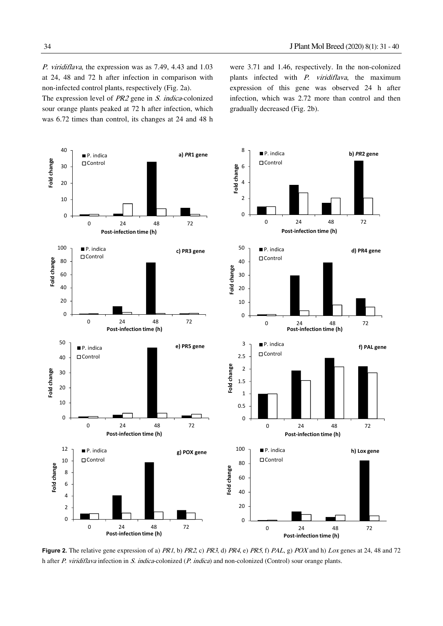P. viridiflava, the expression was as 7.49, 4.43 and 1.03 at 24, 48 and 72 h after infection in comparison with non-infected control plants, respectively (Fig. 2a).

The expression level of PR2 gene in S. indica-colonized sour orange plants peaked at 72 h after infection, which was 6.72 times than control, its changes at 24 and 48 h were 3.71 and 1.46, respectively. In the non-colonized plants infected with P. viridiflava, the maximum expression of this gene was observed 24 h after infection, which was 2.72 more than control and then gradually decreased (Fig. 2b).



**Figure 2.** The relative gene expression of a) PR1, b) PR2, c) PR3, d) PR4, e) PR5, f) PAL, g) POX and h) Lox genes at 24, 48 and 72 h after P. viridiflava infection in S. indica-colonized (P. indica) and non-colonized (Control) sour orange plants.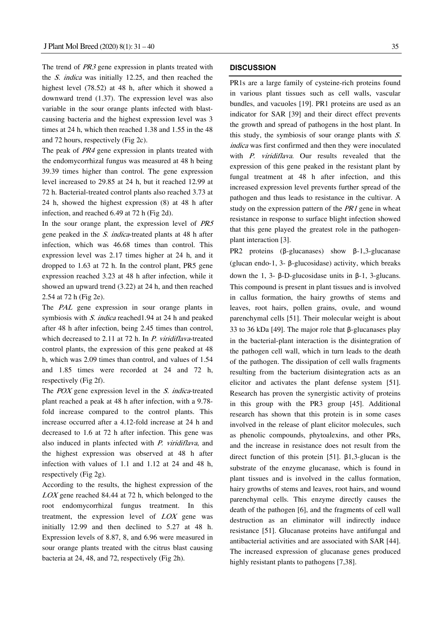The trend of PR3 gene expression in plants treated with the S. indica was initially 12.25, and then reached the highest level (78.52) at 48 h, after which it showed a downward trend (1.37). The expression level was also variable in the sour orange plants infected with blastcausing bacteria and the highest expression level was 3 times at 24 h, which then reached 1.38 and 1.55 in the 48 and 72 hours, respectively (Fig 2c).

The peak of PR4 gene expression in plants treated with the endomycorrhizal fungus was measured at 48 h being 39.39 times higher than control. The gene expression level increased to 29.85 at 24 h, but it reached 12.99 at 72 h. Bacterial-treated control plants also reached 3.73 at 24 h, showed the highest expression (8) at 48 h after infection, and reached 6.49 at 72 h (Fig 2d).

In the sour orange plant, the expression level of PR5 gene peaked in the S. indica-treated plants at 48 h after infection, which was 46.68 times than control. This expression level was 2.17 times higher at 24 h, and it dropped to 1.63 at 72 h. In the control plant, PR5 gene expression reached 3.23 at 48 h after infection, while it showed an upward trend (3.22) at 24 h, and then reached 2.54 at 72 h (Fig 2e).

The PAL gene expression in sour orange plants in symbiosis with S. indica reached1.94 at 24 h and peaked after 48 h after infection, being 2.45 times than control, which decreased to 2.11 at 72 h. In P. viridiflava-treated control plants, the expression of this gene peaked at 48 h, which was 2.09 times than control, and values of 1.54 and 1.85 times were recorded at 24 and 72 h, respectively (Fig 2f).

The *POX* gene expression level in the *S. indica*-treated plant reached a peak at 48 h after infection, with a 9.78 fold increase compared to the control plants. This increase occurred after a 4.12-fold increase at 24 h and decreased to 1.6 at 72 h after infection. This gene was also induced in plants infected with P. viridiflava, and the highest expression was observed at 48 h after infection with values of 1.1 and 1.12 at 24 and 48 h, respectively (Fig 2g).

According to the results, the highest expression of the LOX gene reached 84.44 at 72 h, which belonged to the root endomycorrhizal fungus treatment. In this treatment, the expression level of LOX gene was initially 12.99 and then declined to 5.27 at 48 h. Expression levels of 8.87, 8, and 6.96 were measured in sour orange plants treated with the citrus blast causing bacteria at 24, 48, and 72, respectively (Fig 2h).

## **DISCUSSION**

PR1s are a large family of cysteine-rich proteins found in various plant tissues such as cell walls, vascular bundles, and vacuoles [19]. PR1 proteins are used as an indicator for SAR [39] and their direct effect prevents the growth and spread of pathogens in the host plant. In this study, the symbiosis of sour orange plants with  $S$ . indica was first confirmed and then they were inoculated with P. viridiflava. Our results revealed that the expression of this gene peaked in the resistant plant by fungal treatment at 48 h after infection, and this increased expression level prevents further spread of the pathogen and thus leads to resistance in the cultivar. A study on the expression pattern of the *PR1* gene in wheat resistance in response to surface blight infection showed that this gene played the greatest role in the pathogenplant interaction [3].

PR2 proteins (β-glucanases) show β-1,3-glucanase (glucan endo-1, 3- β-glucosidase) activity, which breaks down the 1, 3- β-D-glucosidase units in β-1, 3-glucans. This compound is present in plant tissues and is involved in callus formation, the hairy growths of stems and leaves, root hairs, pollen grains, ovule, and wound parenchymal cells [51]. Their molecular weight is about 33 to 36 kDa [49]. The major role that β-glucanases play in the bacterial-plant interaction is the disintegration of the pathogen cell wall, which in turn leads to the death of the pathogen. The dissipation of cell walls fragments resulting from the bacterium disintegration acts as an elicitor and activates the plant defense system [51]. Research has proven the synergistic activity of proteins in this group with the PR3 group [45]. Additional research has shown that this protein is in some cases involved in the release of plant elicitor molecules, such as phenolic compounds, phytoalexins, and other PRs, and the increase in resistance does not result from the direct function of this protein [51]. β1,3-glucan is the substrate of the enzyme glucanase, which is found in plant tissues and is involved in the callus formation, hairy growths of stems and leaves, root hairs, and wound parenchymal cells. This enzyme directly causes the death of the pathogen [6], and the fragments of cell wall destruction as an eliminator will indirectly induce resistance [51]. Glucanase proteins have antifungal and antibacterial activities and are associated with SAR [44]. The increased expression of glucanase genes produced highly resistant plants to pathogens [7,38].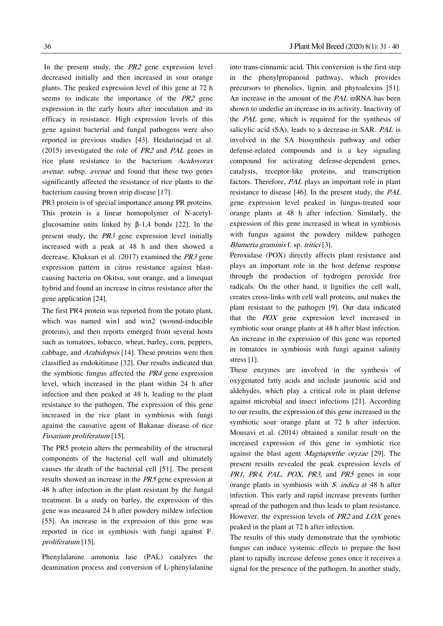In the present study, the PR2 gene expression level decreased initially and then increased in sour orange plants. The peaked expression level of this gene at 72 h seems to indicate the importance of the PR2 gene expression in the early hours after inoculation and its efficacy in resistance. High expression levels of this gene against bacterial and fungal pathogens were also reported in previous studies [43]. Heidarinejad et al. (2015) investigated the role of PR2 and PAL genes in rice plant resistance to the bacterium Acidovorax avenae. subsp. avenae and found that these two genes significantly affected the resistance of rice plants to the bacterium causing brown strip disease [17].

PR3 protein is of special importance among PR proteins. This protein is a linear homopolymer of N-acetylglucosamine units linked by β-1,4 bonds [22]. In the present study, the PR3 gene expression level initially increased with a peak at 48 h and then showed a decrease. Khaksari et al. (2017) examined the PR3 gene expression pattern in citrus resistance against blastcausing bacteria on Okitsu, sour orange, and a limequat hybrid and found an increase in citrus resistance after the gene application [24].

The first PR4 protein was reported from the potato plant, which was named win1 and win2 (wound-inducible proteins), and then reports emerged from several hosts such as tomatoes, tobacco, wheat, barley, corn, peppers, cabbage, and Arabidopsis [14]. These proteins were then classified as endokitinase [32]. Our results indicated that the symbiotic fungus affected the PR4 gene expression level, which increased in the plant within 24 h after infection and then peaked at 48 h, leading to the plant resistance to the pathogen. The expression of this gene increased in the rice plant in symbiosis with fungi against the causative agent of Bakanae disease of rice Fusarium proliferatum [15].

The PR5 protein alters the permeability of the structural components of the bacterial cell wall and ultimately causes the death of the bacterial cell [51]. The present results showed an increase in the PR5 gene expression at 48 h after infection in the plant resistant by the fungal treatment. In a study on barley, the expression of this gene was measured 24 h after powdery mildew infection [55]. An increase in the expression of this gene was reported in rice in symbiosis with fungi against F. proliferatum [15].

Phenylalanine ammonia lase (PAL) catalyzes the deamination process and conversion of L-phenylalanine into trans-cinnamic acid. This conversion is the first step in the phenylpropanoid pathway, which provides precursors to phenolics, lignin, and phytoalexins [51]. An increase in the amount of the PAL mRNA has been shown to underlie an increase in its activity. Inactivity of the PAL gene, which is required for the synthesis of salicylic acid (SA), leads to a decrease in SAR. PAL is involved in the SA biosynthesis pathway and other defense-related compounds and is a key signaling compound for activating defense-dependent genes, catalysts, receptor-like proteins, and transcription factors. Therefore, PAL plays an important role in plant resistance to disease [46]. In the present study, the PAL gene expression level peaked in fungus-treated sour orange plants at 48 h after infection. Similarly, the expression of this gene increased in wheat in symbiosis with fungus against the powdery mildew pathogen Blumeria graminis f. sp. tritici [3].

Peroxidase (POX) directly affects plant resistance and plays an important role in the host defense response through the production of hydrogen peroxide free radicals. On the other hand, it lignifies the cell wall, creates cross-links with cell wall proteins, and makes the plant resistant to the pathogen [9]. Our data indicated that the POX gene expression level increased in symbiotic sour orange plants at 48 h after blast infection. An increase in the expression of this gene was reported in tomatoes in symbiosis with fungi against salinity stress [1].

These enzymes are involved in the synthesis of oxygenated fatty acids and include jasmonic acid and aldehydes, which play a critical role in plant defense against microbial and insect infections [21]. According to our results, the expression of this gene increased in the symbiotic sour orange plant at 72 h after infection. Mousavi et al. (2014) obtained a similar result on the increased expression of this gene in symbiotic rice against the blast agent Magnaporthe oryzae [29]. The present results revealed the peak expression levels of PR1, PR4, PAL, POX, PR3, and PR5 genes in sour orange plants in symbiosis with S. indica at 48 h after infection. This early and rapid increase prevents further spread of the pathogen and thus leads to plant resistance. However, the expression levels of PR2 and LOX genes peaked in the plant at 72 h after infection.

The results of this study demonstrate that the symbiotic fungus can induce systemic effects to prepare the host plant to rapidly increase defense genes once it receives a signal for the presence of the pathogen. In another study,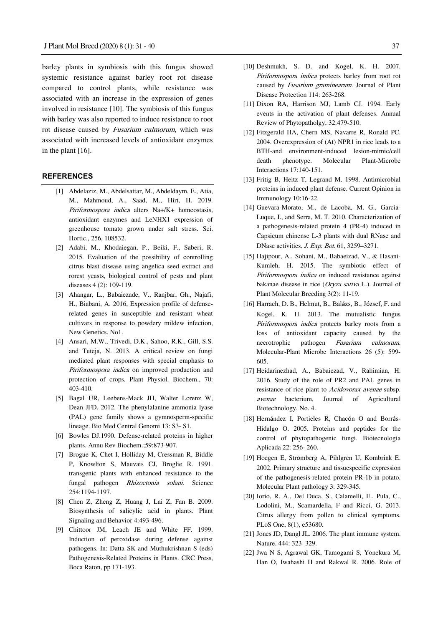barley plants in symbiosis with this fungus showed systemic resistance against barley root rot disease compared to control plants, while resistance was associated with an increase in the expression of genes involved in resistance [10]. The symbiosis of this fungus with barley was also reported to induce resistance to root rot disease caused by Fusarium culmorum, which was associated with increased levels of antioxidant enzymes in the plant [16].

# **REFERENCES**

- [1] Abdelaziz, M., Abdelsattar, M., Abdeldaym, E., Atia, M., Mahmoud, A., Saad, M., Hirt, H. 2019. Piriformospora indica alters Na+/K+ homeostasis, antioxidant enzymes and LeNHX1 expression of greenhouse tomato grown under salt stress. Sci. Hortic., 256, 108532.
- [2] Adabi, M., Khodaiegan, P., Beiki, F., Saberi, R. 2015. Evaluation of the possibility of controlling citrus blast disease using angelica seed extract and rorest yeasts, biological control of pests and plant diseases 4 (2): 109-119.
- [3] Ahangar, L., Babaiezade, V., Ranjbar, Gh., Najafi, H., Biabani, A. 2016, Expression profile of defenserelated genes in susceptible and resistant wheat cultivars in response to powdery mildew infection, New Genetics, No1.
- [4] Ansari, M.W., Trivedi, D.K., Sahoo, R.K., Gill, S.S. and Tuteja, N. 2013. A critical review on fungi mediated plant responses with special emphasis to Piriformospora indica on improved production and protection of crops. Plant Physiol. Biochem., 70: 403-410.
- [5] Bagal UR, Leebens-Mack JH, Walter Lorenz W, Dean JFD. 2012. The phenylalanine ammonia lyase (PAL) gene family shows a gymnosperm-specific lineage. Bio Med Central Genomi 13: S3- S1.
- [6] Bowles DJ.1990. Defense-related proteins in higher plants. Annu Rev Biochem.;59:873-907.
- [7] Brogue K, Chet I, Holliday M, Cressman R, Biddle P, Knowlton S, Mauvais CJ, Broglie R. 1991. transgenic plants with enhanced resistance to the fungal pathogen Rhizoctonia solani. Science 254:1194-1197.
- [8] Chen Z, Zheng Z, Huang J, Lai Z, Fan B. 2009. Biosynthesis of salicylic acid in plants. Plant Signaling and Behavior 4:493-496.
- [9] Chittoor JM, Leach JE and White FF. 1999. Induction of peroxidase during defense against pathogens. In: Datta SK and Muthukrishnan S (eds) Pathogenesis-Related Proteins in Plants. CRC Press, Boca Raton, pp 171-193.
- [10] Deshmukh, S. D. and Kogel, K. H. 2007. Piriformospora indica protects barley from root rot caused by Fusarium graminearum. Journal of Plant Disease Protection 114: 263-268.
- [11] Dixon RA, Harrison MJ, Lamb CJ. 1994. Early events in the activation of plant defenses. Annual Review of Phytopatholgy, 32:479-510.
- [12] Fitzgerald HA, Chern MS, Navarre R, Ronald PC. 2004. Overexpression of (At) NPR1 in rice leads to a BTH-and environment-induced lesion-mimic/cell death phenotype. Molecular Plant-Microbe Interactions 17:140-151.
- [13] Fritig B, Heitz T, Legrand M. 1998. Antimicrobial proteins in induced plant defense. Current Opinion in Immunology 10:16-22.
- [14] Guevara-Morato, M., de Lacoba, M. G., Garcia-Luque, I., and Serra, M. T. 2010. Characterization of a pathogenesis-related protein 4 (PR-4) induced in Capsicum chinense L-3 plants with dual RNase and DNase activities. J. Exp. Bot. 61, 3259–3271.
- [15] Hajipour, A., Sohani, M., Babaeizad, V., & Hasani-Kumleh, H. 2015. The symbiotic effect of Piriformospora indica on induced resistance against bakanae disease in rice (Oryza sativa L.). Journal of Plant Molecular Breeding 3(2): 11-19.
- [16] Harrach, D. B., Helmut, B., Balázs, B., József, F. and Kogel, K. H. 2013. The mutualistic fungus Piriformospora indica protects barley roots from a loss of antioxidant capacity caused by the necrotrophic pathogen Fusarium culmorum. Molecular-Plant Microbe Interactions 26 (5): 599- 605.
- [17] Heidarinezhad, A., Babaiezad, V., Rahimian, H. 2016. Study of the role of PR2 and PAL genes in resistance of rice plant to Acidovorax avenae subsp. avenae bacterium, Journal of Agricultural Biotechnology, No. 4.
- [18] Hernández I, Portieles R, Chacón O and Borrás-Hidalgo O. 2005. Proteins and peptides for the control of phytopathogenic fungi. Biotecnologia Aplicada 22: 256- 260.
- [19] Hoegen E, Strömberg A, Pihlgren U, Kombrink E. 2002. Primary structure and tissuespecific expression of the pathogenesis-related protein PR-1b in potato. Molecular Plant pathology 3: 329-345.
- [20] Iorio, R. A., Del Duca, S., Calamelli, E., Pula, C., Lodolini, M., Scamardella, F and Ricci, G. 2013. Citrus allergy from pollen to clinical symptoms. PLoS One, 8(1), e53680.
- [21] Jones JD, Dangl JL. 2006. The plant immune system. Nature. 444: 323–329.
- [22] Jwa N S, Agrawal GK, Tamogami S, Yonekura M, Han O, Iwahashi H and Rakwal R. 2006. Role of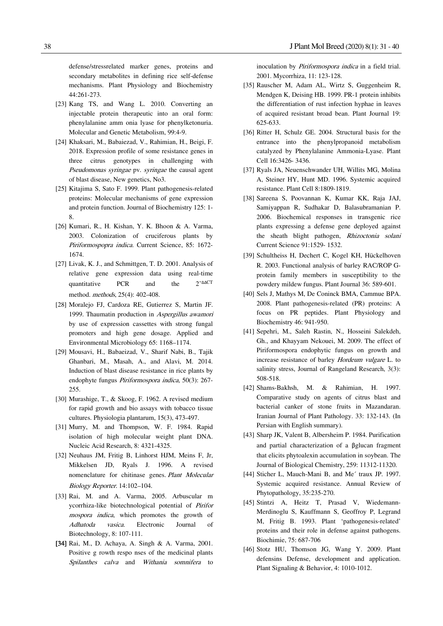defense/stressrelated marker genes, proteins and secondary metabolites in defining rice self-defense mechanisms. Plant Physiology and Biochemistry 44:261-273.

- [23] Kang TS, and Wang L. 2010. Converting an injectable protein therapeutic into an oral form: phenylalanine amm onia lyase for phenylketonuria. Molecular and Genetic Metabolism, 99:4-9.
- [24] Khaksari, M., Babaiezad, V., Rahimian, H., Beigi, F. 2018. Expression profile of some resistance genes in three citrus genotypes in challenging with Pseudomonas syringae pv. syringae the causal agent of blast disease, New genetics, No3.
- [25] Kitajima S, Sato F. 1999. Plant pathogenesis-related proteins: Molecular mechanisms of gene expression and protein function. Journal of Biochemistry 125: 1- 8.
- [26] Kumari, R., H. Kishan, Y. K. Bhoon & A. Varma, 2003. Colonization of cruciferous plants by Piriformospopra indica. Current Science, 85: 1672- 1674.
- [27] Livak, K. J., and Schmittgen, T. D. 2001. Analysis of relative gene expression data using real-time quantitative PCR and the 2<sup>−</sup>ΔΔCT method. methods, 25(4): 402-408.
- [28] Moralejo FJ, Cardoza RE, Gutierrez S, Martin JF. 1999. Thaumatin production in Aspergillus awamori by use of expression cassettes with strong fungal promoters and high gene dosage. Applied and Environmental Microbiology 65: 1168–1174.
- [29] Mousavi, H., Babaeizad, V., Sharif Nabi, B., Tajik Ghanbari, M., Masah, A., and Alavi, M. 2014. Induction of blast disease resistance in rice plants by endophyte fungus Piriformospora indica, 50(3): 267- 255.
- [30] Murashige, T., & Skoog, F. 1962. A revised medium for rapid growth and bio assays with tobacco tissue cultures. Physiologia plantarum, 15(3), 473-497.
- [31] Murry, M. and Thompson, W. F. 1984. Rapid isolation of high molecular weight plant DNA. Nucleic Acid Research, 8: 4321-4325.
- [32] Neuhaus JM, Fritig B, Linhorst HJM, Meins F, Jr, Mikkelsen JD, Ryals J. 1996. A revised nomenclature for chitinase genes. Plant Molecular Biology Reporter. 14:102–104.
- [33] Rai, M. and A. Varma, 2005. Arbuscular m ycorrhiza-like biotechnological potential of Pirifor mospora indica, which promotes the growth of Adhatoda vasica. Electronic Journal of Biotechnology, 8: 107-111.
- [34] Rai, M., D. Achaya, A. Singh & A. Varma, 2001. Positive g rowth respo nses of the medicinal plants Spilanthes calva and Withania somnifera to

inoculation by Piriformospora indica in a field trial. 2001. Mycorrhiza, 11: 123-128.

- [35] Rauscher M, Adam AL, Wirtz S, Guggenheim R, Mendgen K, Deising HB. 1999. PR-1 protein inhibits the differentiation of rust infection hyphae in leaves of acquired resistant broad bean. Plant Journal 19: 625-633.
- [36] Ritter H, Schulz GE. 2004. Structural basis for the entrance into the phenylpropanoid metabolism catalyzed by Phenylalanine Ammonia-Lyase. Plant Cell 16:3426- 3436.
- [37] Ryals JA, Neuenschwander UH, Willits MG, Molina A, Steiner HY, Hunt MD. 1996. Systemic acquired resistance. Plant Cell 8:1809-1819.
- [38] Sareena S, Poovannan K, Kumar KK, Raja JAJ, Samiyappan R, Sudhakar D, Balasubramanian P. 2006. Biochemical responses in transgenic rice plants expressing a defense gene deployed against the sheath blight pathogen, Rhizoctonia solani Current Science 91:1529- 1532.
- [39] Schultheiss H, Dechert C, Kogel KH, Hückelhoven R. 2003. Functional analysis of barley RAC/ROP Gprotein family members in susceptibility to the powdery mildew fungus. Plant Journal 36: 589-601.
- [40] Sels J, Mathys M, De Coninck BMA, Cammue BPA. 2008. Plant pathogenesis-related (PR) proteins: A focus on PR peptides. Plant Physiology and Biochemistry 46: 941-950.
- [41] Sepehri, M., Saleh Rastin, N., Hosseini Salekdeh, Gh., and Khayyam Nekouei, M. 2009. The effect of Piriformospora endophytic fungus on growth and increase resistance of barley Hordeum vulgare L. to salinity stress, Journal of Rangeland Research, 3(3): 508-518.
- [42] Shams-Bakhsh, M. & Rahimian, H. 1997. Comparative study on agents of citrus blast and bacterial canker of stone fruits in Mazandaran. Iranian Journal of Plant Pathology. 33: 132-143. (In Persian with English summary).
- [43] Sharp JK, Valent B, Albersheim P. 1984. Purification and partial characterization of a βglucan fragment that elicits phytoalexin accumulation in soybean. The Journal of Biological Chemistry, 259: 11312-11320.
- [44] Sticher L, Mauch-Mani B, and Me´ traux JP. 1997. Systemic acquired resistance. Annual Review of Phytopathology, 35:235-270.
- [45] Stintzi A, Heitz T, Prasad V, Wiedemann-Merdinoglu S, Kauffmann S, Geoffroy P, Legrand M, Fritig B. 1993. Plant 'pathogenesis-related' proteins and their role in defense against pathogens. Biochimie, 75: 687-706
- [46] Stotz HU, Thomson JG, Wang Y. 2009. Plant defensins Defense, development and application. Plant Signaling & Behavior, 4: 1010-1012.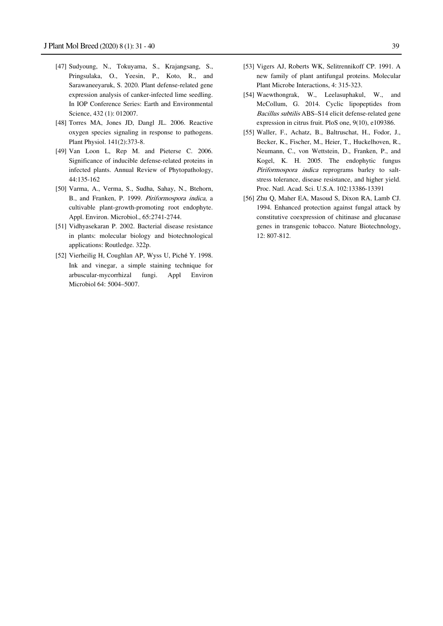- [47] Sudyoung, N., Tokuyama, S., Krajangsang, S., Pringsulaka, O., Yeesin, P., Koto, R., and Sarawaneeyaruk, S. 2020. Plant defense-related gene expression analysis of canker-infected lime seedling. In IOP Conference Series: Earth and Environmental Science, 432 (1): 012007.
- [48] Torres MA, Jones JD, Dangl JL. 2006. Reactive oxygen species signaling in response to pathogens. Plant Physiol. 141(2):373-8.
- [49] Van Loon L, Rep M. and Pieterse C. 2006. Significance of inducible defense-related proteins in infected plants. Annual Review of Phytopathology, 44:135-162
- [50] Varma, A., Verma, S., Sudha, Sahay, N., Btehorn, B., and Franken, P. 1999. Piriformospora indica, a cultivable plant-growth-promoting root endophyte. Appl. Environ. Microbiol., 65:2741-2744.
- [51] Vidhyasekaran P. 2002. Bacterial disease resistance in plants: molecular biology and biotechnological applications: Routledge. 322p.
- [52] Vierheilig H, Coughlan AP, Wyss U, Piché Y. 1998. Ink and vinegar, a simple staining technique for arbuscular-mycorrhizal fungi. Appl Environ Microbiol 64: 5004–5007.
- [53] Vigers AJ, Roberts WK, Selitrennikoff CP. 1991. A new family of plant antifungal proteins. Molecular Plant Microbe Interactions, 4: 315-323.
- [54] Waewthongrak, W., Leelasuphakul, W., and McCollum, G. 2014. Cyclic lipopeptides from Bacillus subtilis ABS–S14 elicit defense-related gene expression in citrus fruit. PloS one, 9(10), e109386.
- [55] Waller, F., Achatz, B., Baltruschat, H., Fodor, J., Becker, K., Fischer, M., Heier, T., Huckelhoven, R., Neumann, C., von Wettstein, D., Franken, P., and Kogel, K. H. 2005. The endophytic fungus Piriformospora indica reprograms barley to saltstress tolerance, disease resistance, and higher yield. Proc. Natl. Acad. Sci. U.S.A. 102:13386-13391
- [56] Zhu Q, Maher EA, Masoud S, Dixon RA, Lamb CJ. 1994. Enhanced protection against fungal attack by constitutive coexpression of chitinase and glucanase genes in transgenic tobacco. Nature Biotechnology, 12: 807-812.